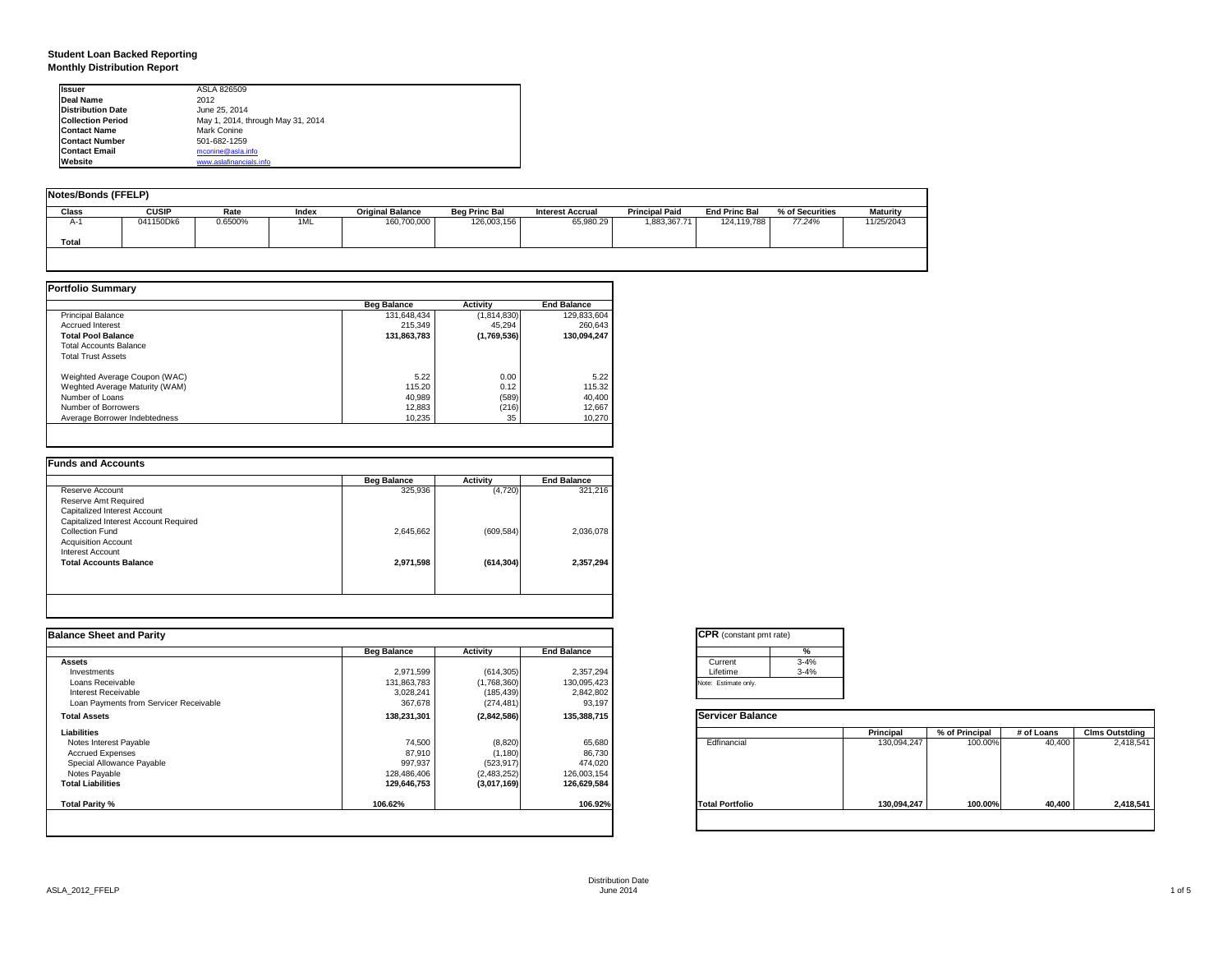#### **Student Loan Backed Reporting Monthly Distribution Report**

| <b>Issuer</b>            | ASLA 826509                       |  |
|--------------------------|-----------------------------------|--|
| Deal Name                | 2012                              |  |
| <b>Distribution Date</b> | June 25, 2014                     |  |
| <b>Collection Period</b> | May 1, 2014, through May 31, 2014 |  |
| <b>Contact Name</b>      | Mark Conine                       |  |
| <b>Contact Number</b>    | 501-682-1259                      |  |
| <b>Contact Email</b>     | mconine@asla.info                 |  |
| Website                  | www.aslafinancials.info           |  |

| Notes/Bonds (FFELP) |              |         |       |                         |                      |                         |                       |                      |                 |                 |
|---------------------|--------------|---------|-------|-------------------------|----------------------|-------------------------|-----------------------|----------------------|-----------------|-----------------|
| Class               | <b>CUSIP</b> | Rate    | Index | <b>Original Balance</b> | <b>Beg Princ Bal</b> | <b>Interest Accrual</b> | <b>Principal Paid</b> | <b>End Princ Bal</b> | % of Securities | <b>Maturity</b> |
| A-1                 | 041150Dk6    | 0.6500% | 1ML   | 160,700,000             | 126,003,156          | 65,980.29               | 1,883,367.71          | 124,119,788          | 77.24%          | 11/25/2043      |
| Total               |              |         |       |                         |                      |                         |                       |                      |                 |                 |
|                     |              |         |       |                         |                      |                         |                       |                      |                 |                 |

|                                | <b>Beg Balance</b> | Activity    | <b>End Balance</b> |
|--------------------------------|--------------------|-------------|--------------------|
| <b>Principal Balance</b>       | 131.648.434        | (1,814,830) | 129,833,604        |
| <b>Accrued Interest</b>        | 215.349            | 45.294      | 260.643            |
| <b>Total Pool Balance</b>      | 131,863,783        | (1,769,536) | 130,094,247        |
| <b>Total Accounts Balance</b>  |                    |             |                    |
| <b>Total Trust Assets</b>      |                    |             |                    |
| Weighted Average Coupon (WAC)  | 5.22               | 0.00        | 5.22               |
| Weghted Average Maturity (WAM) | 115.20             | 0.12        | 115.32             |
| Number of Loans                | 40.989             | (589)       | 40.400             |
| Number of Borrowers            | 12,883             | (216)       | 12,667             |
| Average Borrower Indebtedness  | 10.235             | 35          | 10.270             |

| <b>Beg Balance</b> | Activity   | <b>End Balance</b> |
|--------------------|------------|--------------------|
| 325,936            | (4,720)    | 321,216            |
|                    |            |                    |
|                    |            |                    |
|                    |            |                    |
| 2,645,662          | (609, 584) | 2,036,078          |
|                    |            |                    |
|                    |            |                    |
| 2,971,598          | (614, 304) | 2,357,294          |
|                    |            |                    |
|                    |            |                    |
|                    |            |                    |

| <b>Balance Sheet and Parity</b>        |                    |             |                    | <b>CPR</b> (constant pmt rate) |          |             |                |            |                       |
|----------------------------------------|--------------------|-------------|--------------------|--------------------------------|----------|-------------|----------------|------------|-----------------------|
|                                        | <b>Beg Balance</b> | Activity    | <b>End Balance</b> |                                | %        |             |                |            |                       |
| <b>Assets</b>                          |                    |             |                    | Current                        | $3 - 4%$ |             |                |            |                       |
| Investments                            | 2,971,599          | (614, 305)  | 2,357,294          | Lifetime                       | $3 - 4%$ |             |                |            |                       |
| Loans Receivable                       | 131,863,783        | (1,768,360) | 130,095,423        | Note: Estimate only.           |          |             |                |            |                       |
| Interest Receivable                    | 3,028,241          | (185, 439)  | 2,842,802          |                                |          |             |                |            |                       |
| Loan Payments from Servicer Receivable | 367,678            | (274, 481)  | 93,197             |                                |          |             |                |            |                       |
| <b>Total Assets</b>                    | 138,231,301        | (2,842,586) | 135,388,715        | <b>Servicer Balance</b>        |          |             |                |            |                       |
| Liabilities                            |                    |             |                    |                                |          | Principal   | % of Principal | # of Loans | <b>Clms Outstding</b> |
| Notes Interest Payable                 | 74,500             | (8,820)     | 65,680             | Edfinancial                    |          | 130,094,247 | 100.00%        | 40,400     | 2,418,54              |
| <b>Accrued Expenses</b>                | 87,910             | (1, 180)    | 86,730             |                                |          |             |                |            |                       |
| Special Allowance Payable              | 997,937            | (523, 917)  | 474,020            |                                |          |             |                |            |                       |
| Notes Payable                          | 128,486,406        | (2,483,252) | 126,003,154        |                                |          |             |                |            |                       |
| <b>Total Liabilities</b>               | 129,646,753        | (3,017,169) | 126,629,584        |                                |          |             |                |            |                       |
| Total Parity %                         | 106.62%            |             | 106.92%            | <b>Total Portfolio</b>         |          | 130,094,247 | 100.00%        | 40,400     | 2,418,54              |
|                                        |                    |             |                    |                                |          |             |                |            |                       |
|                                        |                    |             |                    |                                |          |             |                |            |                       |

|          | %        |
|----------|----------|
| Current  | $3 - 4%$ |
| Lifetime | $3 - 4%$ |

|                        | Principal   | % of Principal | # of Loans | <b>Clms Outstding</b> |
|------------------------|-------------|----------------|------------|-----------------------|
| Edfinancial            | 130,094,247 | 100.00%        | 40,400     | 2,418,541             |
| <b>Total Portfolio</b> | 130,094,247 | 100.00%        | 40,400     | 2,418,541             |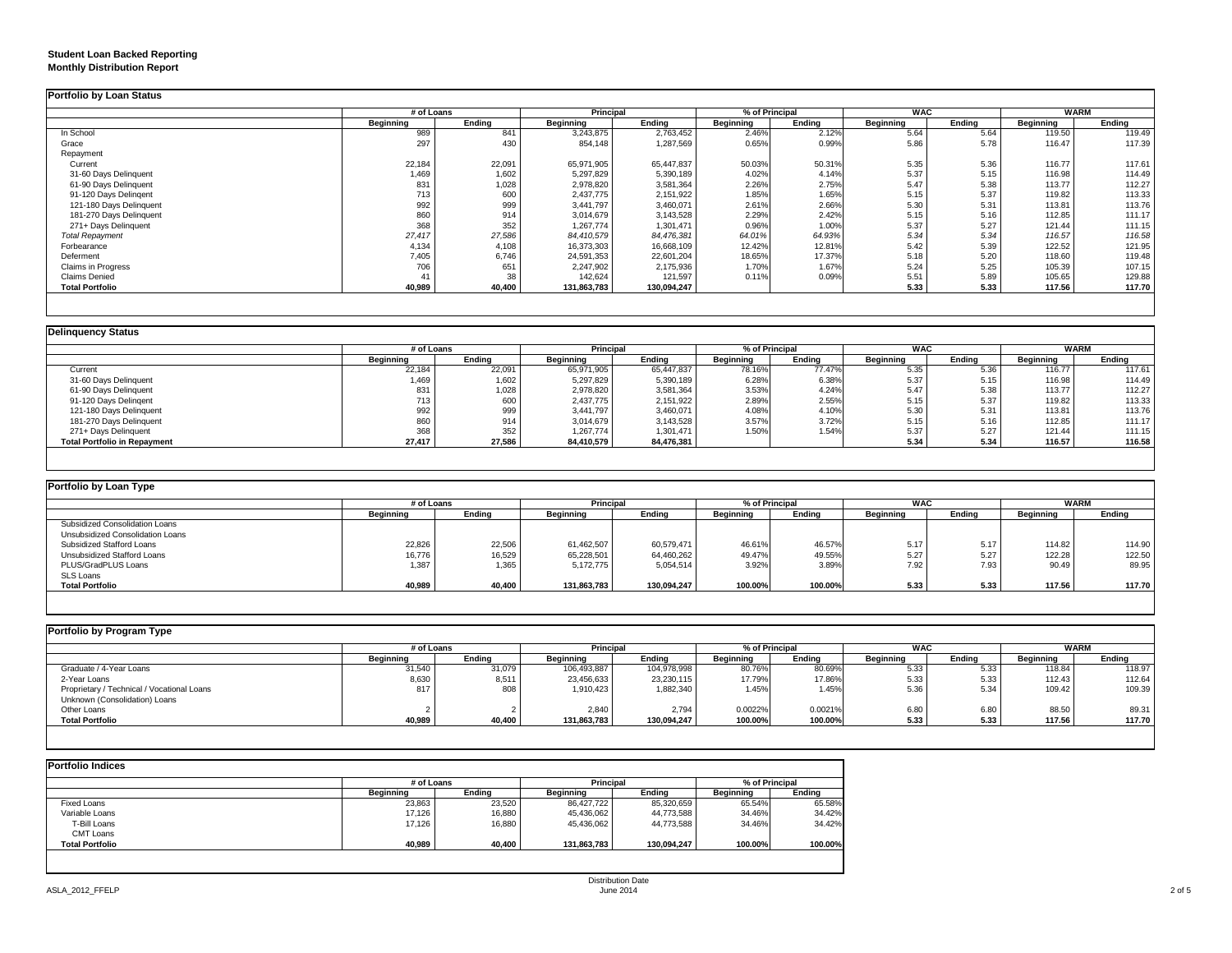### **Student Loan Backed Reporting Monthly Distribution Report**

|                         | # of Loans     |        | Principal   |               | % of Principal |        | <b>WAC</b>       |        | WARM      |        |
|-------------------------|----------------|--------|-------------|---------------|----------------|--------|------------------|--------|-----------|--------|
|                         | Beginning      | Ending | Beginning   | <b>Ending</b> | Beginning      | Ending | <b>Beginning</b> | Ending | Beginning | Ending |
| In School               | 989            | 841    | 3,243,875   | 2,763,452     | 2.46%          | 2.12%  | 5.64             | 5.64   | 119.50    | 119.49 |
| Grace                   | 297            | 430    | 854,148     | 1,287,569     | 0.65%          | 0.99%  | 5.86             | 5.78   | 116.47    | 117.39 |
| Repayment               |                |        |             |               |                |        |                  |        |           |        |
| Current                 | 22,184         | 22,091 | 65,971,905  | 65,447,837    | 50.03%         | 50.31% | 5.35             | 5.36   | 116.77    | 117.61 |
| 31-60 Days Delinquent   | 1,469          | 1.602  | 5,297,829   | 5,390,189     | 4.02%          | 4.14%  | 5.37             | 5.15   | 116.98    | 114.49 |
| 61-90 Days Delinquent   | 831            | 1,028  | 2,978,820   | 3,581,364     | 2.26%          | 2.75%  | 5.47             | 5.38   | 113.77    | 112.27 |
| 91-120 Days Delingent   | 713            | 600    | 2,437,775   | 2,151,922     | 1.85%          | 1.65%  | 5.15             | 5.37   | 119.82    | 113.33 |
| 121-180 Days Delinquent | 992            | 999    | 3,441,797   | 3,460,071     | 2.61%          | 2.66%  | 5.30             | 5.31   | 113.81    | 113.76 |
| 181-270 Days Delinquent | 860            | 914    | 3,014,679   | 3,143,528     | 2.29%          | 2.42%  | 5.15             | 5.16   | 112.85    | 111.17 |
| 271+ Days Delinquent    | 368            | 352    | 1,267,774   | 1,301,471     | 0.96%          | 1.00%  | 5.37             | 5.27   | 121.44    | 111.15 |
| <b>Total Repayment</b>  | 27,417         | 27,586 | 84,410,579  | 84,476,381    | 64.01%         | 64.93% | 5.34             | 5.34   | 116.57    | 116.58 |
| Forbearance             | 4,134          | 4,108  | 16,373,303  | 16,668,109    | 12.42%         | 12.81% | 5.42             | 5.39   | 122.52    | 121.95 |
| Deferment               | 7,405          | 6.746  | 24,591,353  | 22,601,204    | 18.65%         | 17.37% | 5.18             | 5.20   | 118.60    | 119.48 |
| Claims in Progress      | 706            | 651    | 2.247.902   | 2,175,936     | 1.70%          | 1.67%  | 5.24             | 5.25   | 105.39    | 107.15 |
| <b>Claims Denied</b>    | 4 <sup>7</sup> | 38     | 142,624     | 121,597       | 0.11%          | 0.09%  | 5.51             | 5.89   | 105.65    | 129.88 |
| <b>Total Portfolio</b>  | 40,989         | 40,400 | 131,863,783 | 130,094,247   |                |        | 5.33             | 5.33   | 117.56    | 117.70 |

|                                     | # of Loans |        |                  | Principal  |           | % of Principal | <b>WAC</b> |        | <b>WARM</b> |        |
|-------------------------------------|------------|--------|------------------|------------|-----------|----------------|------------|--------|-------------|--------|
|                                     | Beainnina  | Endina | <b>Beginning</b> | Endina     | Beginning | Endina         | Beginning  | Endina | Beginning   | Ending |
| Current                             | 22,184     | 22,091 | 65,971,905       | 65,447,837 | 78.16%    | 77.47%         | 5.35       | 5.36   | 116.77      | 117.61 |
| 31-60 Days Delinquent               | 1,469      | 1,602  | 5,297,829        | 5,390,189  | 6.28%     | 6.38%          | 5.37       | 5.15   | 116.98      | 114.49 |
| 61-90 Days Delinquent               | 831        | 1,028  | 2,978,820        | 3,581,364  | 3.53%     | 4.24%          | 5.47       | 5.38   | 113.77      | 112.27 |
| 91-120 Days Delingent               | 713        | 600    | 2,437,775        | 2,151,922  | 2.89%     | 2.55%          | 5.15       | 5.37   | 119.82      | 113.33 |
| 121-180 Days Delinquent             | 992        | 999    | 3,441,797        | 3,460,071  | 4.08%     | 4.10%          | 5.30       | 5.31   | 113.81      | 113.76 |
| 181-270 Days Delinquent             | 860        | 914    | 3.014.679        | 3,143,528  | 3.57%     | 3.72%          | 5.15       | 5.16   | 112.85      | 111.17 |
| 271+ Days Delinquent                | 368        | 352    | 1,267,774        | 1,301,471  | 1.50%     | 1.54%          | 5.37       | 5.27   | 121.44      | 111.15 |
| <b>Total Portfolio in Repayment</b> | 27,417     | 27,586 | 84,410,579       | 84,476,381 |           |                | 5.34       | 5.34   | 116.57      | 116.58 |

| Portfolio by Loan Type           |           |            |                  |                  |                  |                |                  |            |                  |             |
|----------------------------------|-----------|------------|------------------|------------------|------------------|----------------|------------------|------------|------------------|-------------|
|                                  |           | # of Loans |                  | <b>Principal</b> |                  | % of Principal |                  | <b>WAC</b> |                  | <b>WARM</b> |
|                                  | Beainnina | Endina     | <b>Beainning</b> | Endina           | <b>Beainning</b> | Endina         | <b>Beainning</b> | Endina     | <b>Beainning</b> | Endina      |
| Subsidized Consolidation Loans   |           |            |                  |                  |                  |                |                  |            |                  |             |
| Unsubsidized Consolidation Loans |           |            |                  |                  |                  |                |                  |            |                  |             |
| Subsidized Stafford Loans        | 22,826    | 22,506     | 61,462,507       | 60,579,471       | 46.61%           | 46.57%         | 5.17             | 5.17       | 114.82           | 114.90      |
| Unsubsidized Stafford Loans      | 16,776    | 16,529     | 65,228,501       | 64,460,262       | 49.47%           | 49.55%         | 5.27             | 5.27       | 122.28           | 122.50      |
| PLUS/GradPLUS Loans              | 1,387     | 1,365      | 5.172.775        | 5,054,514        | 3.92%            | 3.89%          | 7.92             | 7.93       | 90.49            | 89.95       |
| SLS Loans                        |           |            |                  |                  |                  |                |                  |            |                  |             |
| <b>Total Portfolio</b>           | 40,989    | 40,400     | 131,863,783      | 130,094,247      | 100.00%          | 100.00%        | 5.33             | 5.33       | 117.56           | 117.70      |

| Portfolio by Program Type                  |            |        |                  |             |                  |                |                  |            |                  |             |  |
|--------------------------------------------|------------|--------|------------------|-------------|------------------|----------------|------------------|------------|------------------|-------------|--|
|                                            | # of Loans |        | Principal        |             |                  | % of Principal |                  | <b>WAC</b> |                  | <b>WARM</b> |  |
|                                            | Beainnina  | Endina | <b>Beainning</b> | Endina      | <b>Beginning</b> | Endina         | <b>Beainning</b> | Endina     | <b>Beainning</b> | Endina      |  |
| Graduate / 4-Year Loans                    | 31,540     | 31,079 | 106.493.887      | 104,978,998 | 80.76%           | 80.69%         | 5.33             | 5.33       | 118.84           | 118.97      |  |
| 2-Year Loans                               | 8,630      | 8,511  | 23,456,633       | 23,230,115  | 17.79%           | 17.86%         | 5.33             | 5.33       | 112.43           | 112.64      |  |
| Proprietary / Technical / Vocational Loans | 817        | 808    | 1,910,423        | 1,882,340   | 1.45%            | 1.45%          | 5.36             | 5.34       | 109.42           | 109.39      |  |
| Unknown (Consolidation) Loans              |            |        |                  |             |                  |                |                  |            |                  |             |  |
| Other Loans                                |            |        | 2.840            | 2.794       | 0.0022%          | 0.0021%        | 6.80             | 6.80       | 88.50            | 89.31       |  |
| <b>Total Portfolio</b>                     | 40,989     | 40,400 | 131,863,783      | 130,094,247 | 100.00%          | 100.00%        | 5.33             | 5.33       | 117.56           | 117.70      |  |

|                        |           | # of Loans |                  |             | % of Principal   |         |  |
|------------------------|-----------|------------|------------------|-------------|------------------|---------|--|
|                        | Beginning | Endina     | <b>Beginning</b> | Endina      | <b>Beginning</b> | Ending  |  |
| Fixed Loans            | 23,863    | 23.520     | 86.427.722       | 85,320,659  | 65.54%           | 65.58%  |  |
| Variable Loans         | 17,126    | 16,880     | 45,436,062       | 44,773,588  | 34.46%           | 34.42%  |  |
| T-Bill Loans           | 17.126    | 16,880     | 45,436,062       | 44,773,588  | 34.46%           | 34.42%  |  |
| <b>CMT Loans</b>       |           |            |                  |             |                  |         |  |
| <b>Total Portfolio</b> | 40,989    | 40,400     | 131,863,783      | 130,094,247 | 100.00%          | 100.00% |  |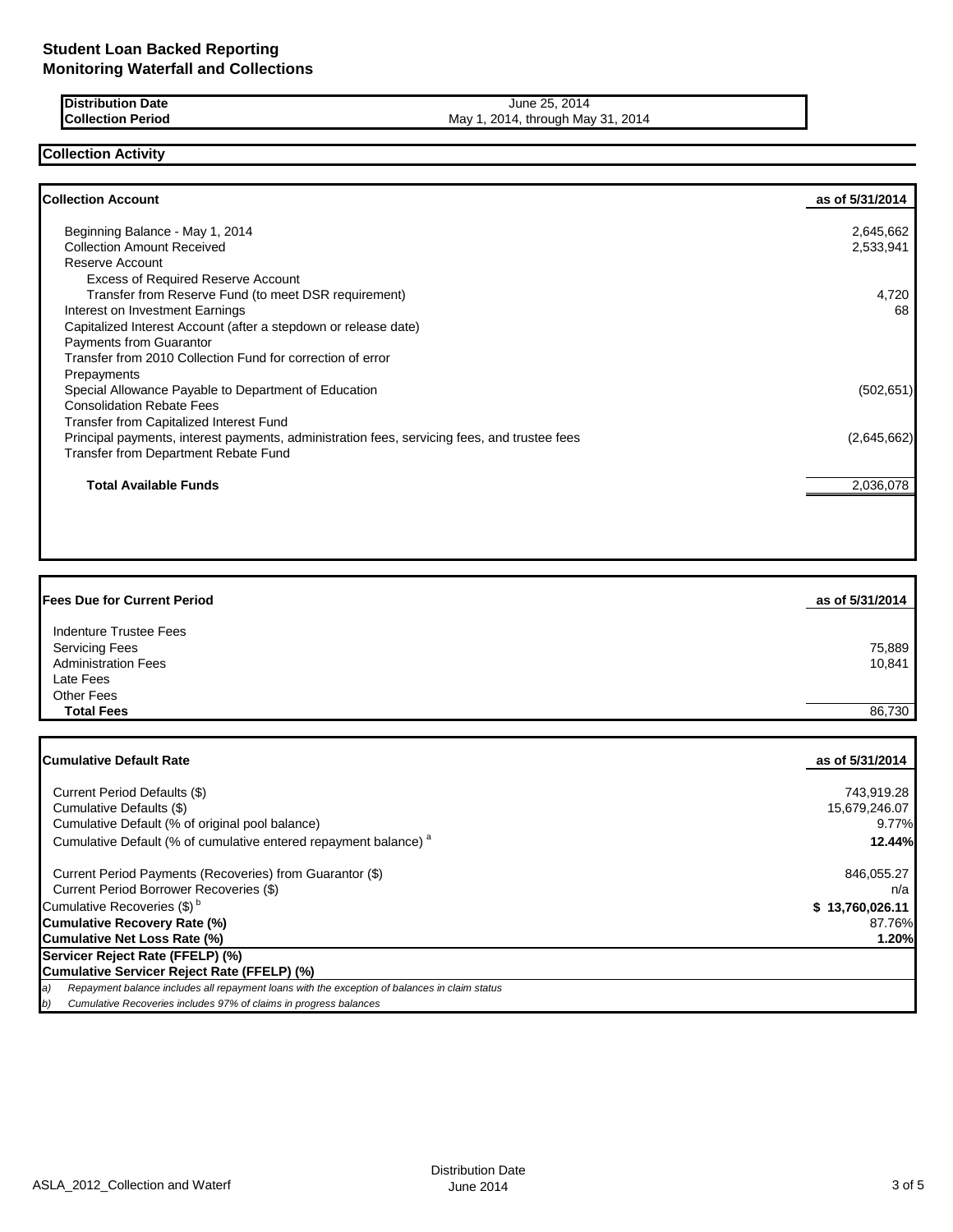| <b>IDistribution Date</b> | 2014<br>June 25.                  |
|---------------------------|-----------------------------------|
| <b>Collection Period</b>  | 2014, through May 31, 2014<br>Mav |

## **Collection Activity**

| <b>Collection Account</b>                                                                    | as of 5/31/2014 |
|----------------------------------------------------------------------------------------------|-----------------|
| Beginning Balance - May 1, 2014                                                              | 2,645,662       |
| <b>Collection Amount Received</b>                                                            | 2,533,941       |
| Reserve Account                                                                              |                 |
| <b>Excess of Required Reserve Account</b>                                                    |                 |
| Transfer from Reserve Fund (to meet DSR requirement)                                         | 4,720           |
| Interest on Investment Earnings                                                              | 68              |
| Capitalized Interest Account (after a stepdown or release date)                              |                 |
| Payments from Guarantor                                                                      |                 |
| Transfer from 2010 Collection Fund for correction of error                                   |                 |
| Prepayments                                                                                  |                 |
| Special Allowance Payable to Department of Education                                         | (502, 651)      |
| <b>Consolidation Rebate Fees</b>                                                             |                 |
| <b>Transfer from Capitalized Interest Fund</b>                                               |                 |
| Principal payments, interest payments, administration fees, servicing fees, and trustee fees | (2,645,662)     |
| Transfer from Department Rebate Fund                                                         |                 |
| <b>Total Available Funds</b>                                                                 | 2,036,078       |
|                                                                                              |                 |

| <b>Fees Due for Current Period</b> | as of 5/31/2014 |
|------------------------------------|-----------------|
| Indenture Trustee Fees             |                 |
| <b>Servicing Fees</b>              | 75,889          |
| <b>Administration Fees</b>         | 10,841          |
| Late Fees                          |                 |
| <b>Other Fees</b>                  |                 |
| <b>Total Fees</b>                  | 86.730          |

| Cumulative Default Rate                                                                             | as of 5/31/2014 |
|-----------------------------------------------------------------------------------------------------|-----------------|
| Current Period Defaults (\$)                                                                        | 743,919.28      |
| Cumulative Defaults (\$)                                                                            | 15,679,246.07   |
| Cumulative Default (% of original pool balance)                                                     | 9.77%           |
| Cumulative Default (% of cumulative entered repayment balance) <sup>a</sup>                         | 12.44%          |
| Current Period Payments (Recoveries) from Guarantor (\$)                                            | 846,055.27      |
| Current Period Borrower Recoveries (\$)                                                             | n/a             |
| Cumulative Recoveries (\$) <sup>b</sup>                                                             | \$13,760,026.11 |
| Cumulative Recovery Rate (%)                                                                        | 87.76%          |
| Cumulative Net Loss Rate (%)                                                                        | 1.20%           |
| Servicer Reject Rate (FFELP) (%)                                                                    |                 |
| Cumulative Servicer Reject Rate (FFELP) (%)                                                         |                 |
| Repayment balance includes all repayment loans with the exception of balances in claim status<br>a) |                 |
| Cumulative Recoveries includes 97% of claims in progress balances<br>b)                             |                 |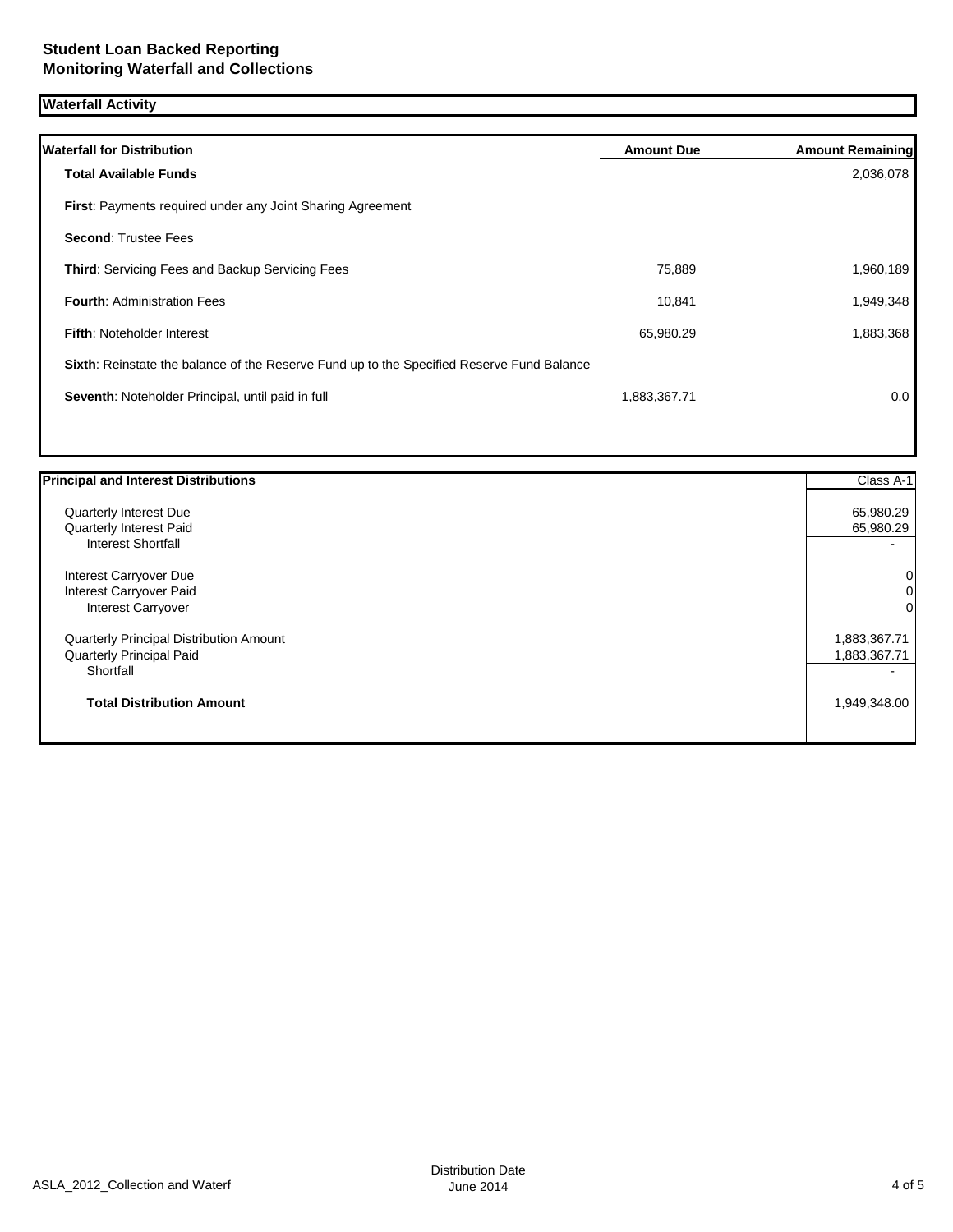# **Waterfall Activity**

| <b>Waterfall for Distribution</b>                                                         | <b>Amount Due</b> | <b>Amount Remaining</b> |
|-------------------------------------------------------------------------------------------|-------------------|-------------------------|
| Total Available Funds                                                                     |                   | 2,036,078               |
| First: Payments required under any Joint Sharing Agreement                                |                   |                         |
| <b>Second: Trustee Fees</b>                                                               |                   |                         |
| <b>Third:</b> Servicing Fees and Backup Servicing Fees                                    | 75,889            | 1,960,189               |
| <b>Fourth: Administration Fees</b>                                                        | 10,841            | 1,949,348               |
| <b>Fifth: Noteholder Interest</b>                                                         | 65,980.29         | 1,883,368               |
| Sixth: Reinstate the balance of the Reserve Fund up to the Specified Reserve Fund Balance |                   |                         |
| Seventh: Noteholder Principal, until paid in full                                         | 1,883,367.71      | 0.0                     |
|                                                                                           |                   |                         |

| <b>Principal and Interest Distributions</b> | Class A-1                |
|---------------------------------------------|--------------------------|
| Quarterly Interest Due                      | 65,980.29                |
| Quarterly Interest Paid                     | 65,980.29                |
| <b>Interest Shortfall</b>                   | $\overline{\phantom{0}}$ |
| Interest Carryover Due                      | 0                        |
| Interest Carryover Paid                     | 0                        |
| <b>Interest Carryover</b>                   | $\mathbf 0$              |
| Quarterly Principal Distribution Amount     | 1,883,367.71             |
| <b>Quarterly Principal Paid</b>             | 1,883,367.71             |
| Shortfall                                   |                          |
| <b>Total Distribution Amount</b>            | 1,949,348.00             |
|                                             |                          |